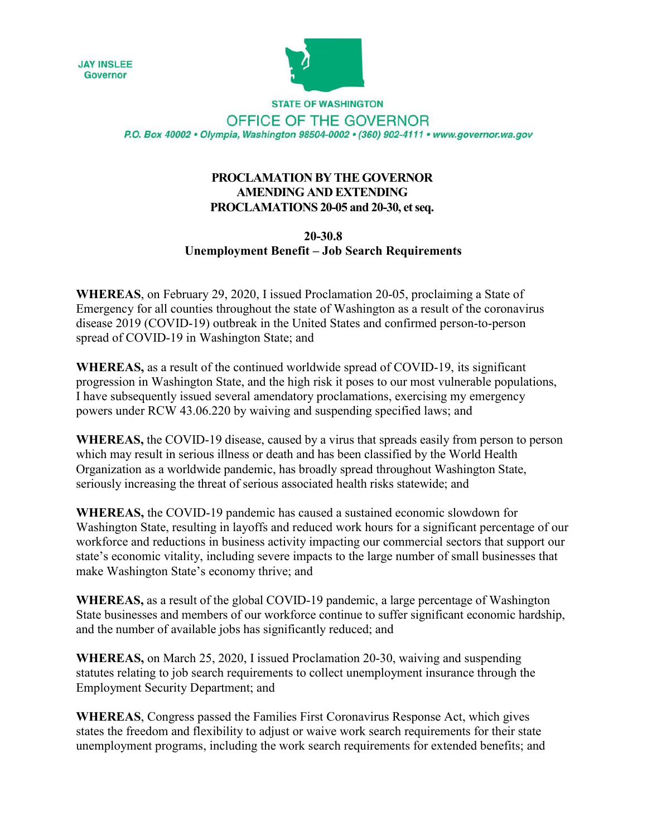



**STATE OF WASHINGTON** OFFICE OF THE GOVERNOR P.O. Box 40002 · Olympia, Washington 98504-0002 · (360) 902-4111 · www.governor.wa.gov

## **PROCLAMATION BY THE GOVERNOR AMENDING AND EXTENDING PROCLAMATIONS 20-05 and 20-30, et seq.**

## **20-30.8 Unemployment Benefit – Job Search Requirements**

**WHEREAS**, on February 29, 2020, I issued Proclamation 20-05, proclaiming a State of Emergency for all counties throughout the state of Washington as a result of the coronavirus disease 2019 (COVID-19) outbreak in the United States and confirmed person-to-person spread of COVID-19 in Washington State; and

**WHEREAS,** as a result of the continued worldwide spread of COVID-19, its significant progression in Washington State, and the high risk it poses to our most vulnerable populations, I have subsequently issued several amendatory proclamations, exercising my emergency powers under RCW 43.06.220 by waiving and suspending specified laws; and

**WHEREAS,** the COVID-19 disease, caused by a virus that spreads easily from person to person which may result in serious illness or death and has been classified by the World Health Organization as a worldwide pandemic, has broadly spread throughout Washington State, seriously increasing the threat of serious associated health risks statewide; and

**WHEREAS,** the COVID-19 pandemic has caused a sustained economic slowdown for Washington State, resulting in layoffs and reduced work hours for a significant percentage of our workforce and reductions in business activity impacting our commercial sectors that support our state's economic vitality, including severe impacts to the large number of small businesses that make Washington State's economy thrive; and

**WHEREAS,** as a result of the global COVID-19 pandemic, a large percentage of Washington State businesses and members of our workforce continue to suffer significant economic hardship, and the number of available jobs has significantly reduced; and

**WHEREAS,** on March 25, 2020, I issued Proclamation 20-30, waiving and suspending statutes relating to job search requirements to collect unemployment insurance through the Employment Security Department; and

**WHEREAS**, Congress passed the Families First Coronavirus Response Act, which gives states the freedom and flexibility to adjust or waive work search requirements for their state unemployment programs, including the work search requirements for extended benefits; and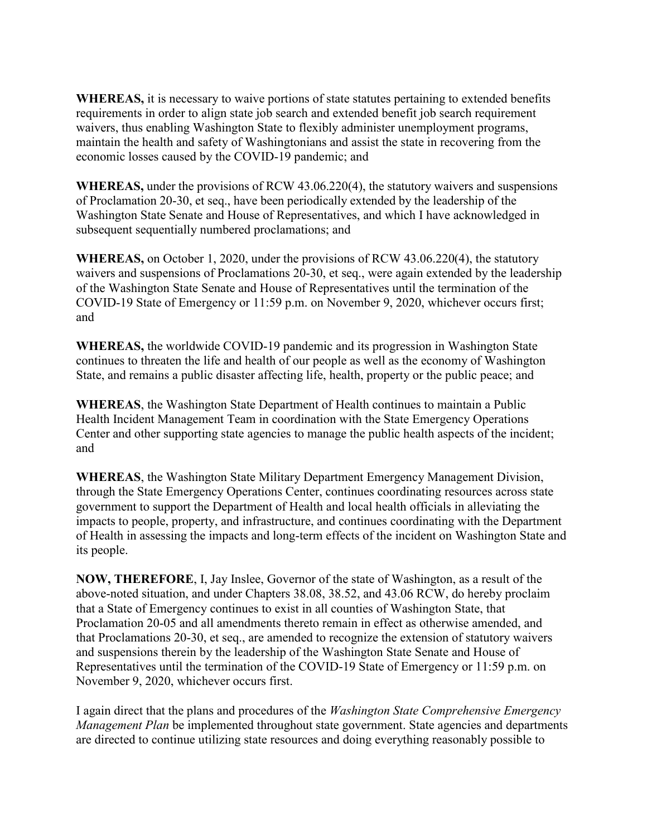**WHEREAS,** it is necessary to waive portions of state statutes pertaining to extended benefits requirements in order to align state job search and extended benefit job search requirement waivers, thus enabling Washington State to flexibly administer unemployment programs, maintain the health and safety of Washingtonians and assist the state in recovering from the economic losses caused by the COVID-19 pandemic; and

**WHEREAS,** under the provisions of RCW 43.06.220(4), the statutory waivers and suspensions of Proclamation 20-30, et seq., have been periodically extended by the leadership of the Washington State Senate and House of Representatives, and which I have acknowledged in subsequent sequentially numbered proclamations; and

**WHEREAS,** on October 1, 2020, under the provisions of RCW 43.06.220(4), the statutory waivers and suspensions of Proclamations 20-30, et seq., were again extended by the leadership of the Washington State Senate and House of Representatives until the termination of the COVID-19 State of Emergency or 11:59 p.m. on November 9, 2020, whichever occurs first; and

**WHEREAS,** the worldwide COVID-19 pandemic and its progression in Washington State continues to threaten the life and health of our people as well as the economy of Washington State, and remains a public disaster affecting life, health, property or the public peace; and

**WHEREAS**, the Washington State Department of Health continues to maintain a Public Health Incident Management Team in coordination with the State Emergency Operations Center and other supporting state agencies to manage the public health aspects of the incident; and

**WHEREAS**, the Washington State Military Department Emergency Management Division, through the State Emergency Operations Center, continues coordinating resources across state government to support the Department of Health and local health officials in alleviating the impacts to people, property, and infrastructure, and continues coordinating with the Department of Health in assessing the impacts and long-term effects of the incident on Washington State and its people.

**NOW, THEREFORE**, I, Jay Inslee, Governor of the state of Washington, as a result of the above-noted situation, and under Chapters 38.08, 38.52, and 43.06 RCW, do hereby proclaim that a State of Emergency continues to exist in all counties of Washington State, that Proclamation 20-05 and all amendments thereto remain in effect as otherwise amended, and that Proclamations 20-30, et seq., are amended to recognize the extension of statutory waivers and suspensions therein by the leadership of the Washington State Senate and House of Representatives until the termination of the COVID-19 State of Emergency or 11:59 p.m. on November 9, 2020, whichever occurs first.

I again direct that the plans and procedures of the *Washington State Comprehensive Emergency Management Plan* be implemented throughout state government. State agencies and departments are directed to continue utilizing state resources and doing everything reasonably possible to